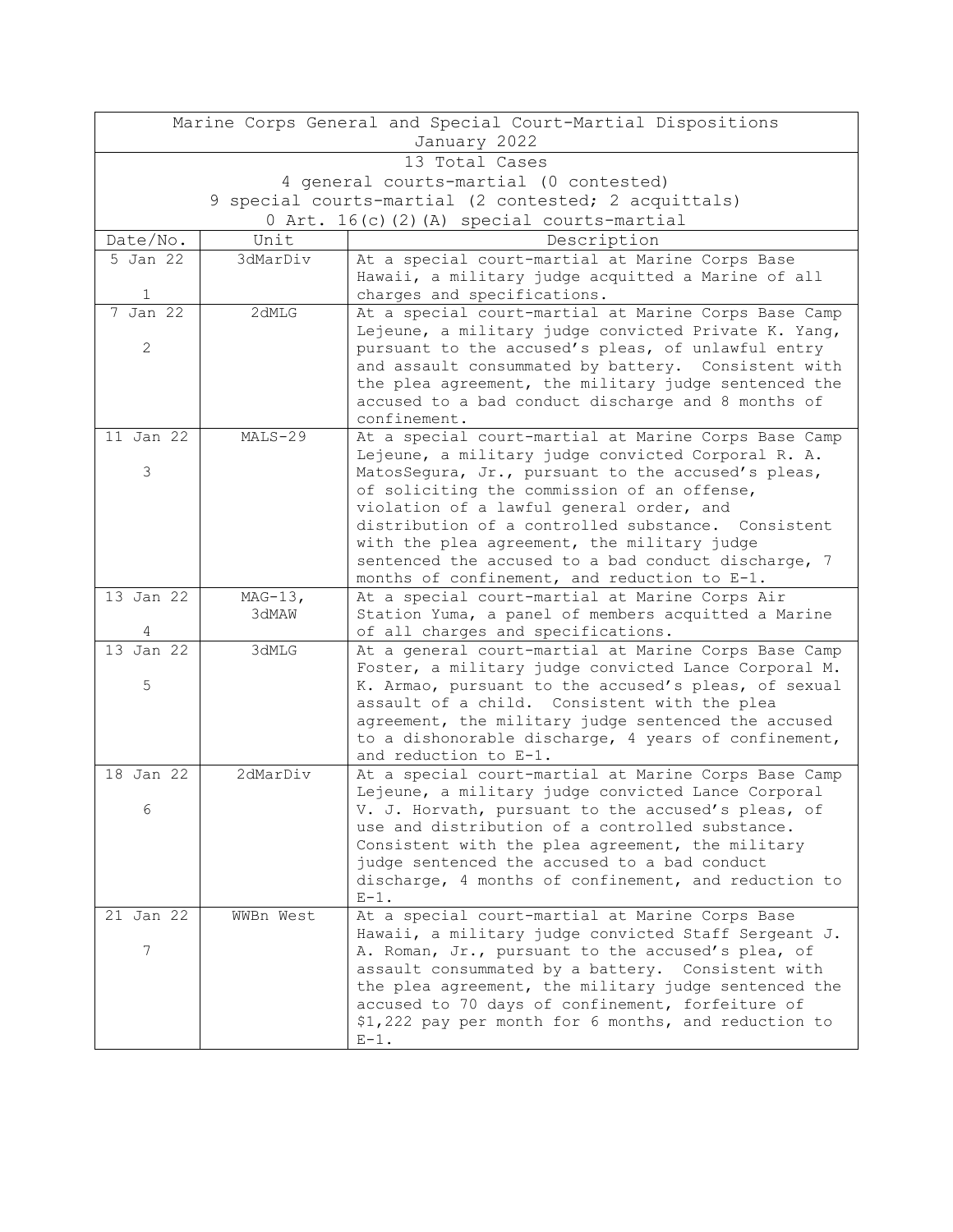| Marine Corps General and Special Court-Martial Dispositions |           |                                                                                                             |  |  |
|-------------------------------------------------------------|-----------|-------------------------------------------------------------------------------------------------------------|--|--|
| January 2022                                                |           |                                                                                                             |  |  |
| 13 Total Cases                                              |           |                                                                                                             |  |  |
| 4 general courts-martial (0 contested)                      |           |                                                                                                             |  |  |
| 9 special courts-martial (2 contested; 2 acquittals)        |           |                                                                                                             |  |  |
| 0 Art. 16(c)(2)(A) special courts-martial                   |           |                                                                                                             |  |  |
| Date/No.                                                    | Unit      | Description                                                                                                 |  |  |
| 5 Jan 22                                                    | 3dMarDiv  | At a special court-martial at Marine Corps Base                                                             |  |  |
|                                                             |           | Hawaii, a military judge acquitted a Marine of all                                                          |  |  |
| $\mathbf{1}$                                                |           | charges and specifications.                                                                                 |  |  |
| $7$ Jan 22                                                  | 2dMLG     | At a special court-martial at Marine Corps Base Camp                                                        |  |  |
|                                                             |           | Lejeune, a military judge convicted Private K. Yang,                                                        |  |  |
| $\mathbf{2}$                                                |           | pursuant to the accused's pleas, of unlawful entry                                                          |  |  |
|                                                             |           | and assault consummated by battery. Consistent with<br>the plea agreement, the military judge sentenced the |  |  |
|                                                             |           | accused to a bad conduct discharge and 8 months of                                                          |  |  |
|                                                             |           | confinement.                                                                                                |  |  |
| 11 Jan 22                                                   | $MALS-29$ | At a special court-martial at Marine Corps Base Camp                                                        |  |  |
|                                                             |           | Lejeune, a military judge convicted Corporal R. A.                                                          |  |  |
| 3                                                           |           | MatosSegura, Jr., pursuant to the accused's pleas,                                                          |  |  |
|                                                             |           | of soliciting the commission of an offense,                                                                 |  |  |
|                                                             |           | violation of a lawful general order, and                                                                    |  |  |
|                                                             |           | distribution of a controlled substance. Consistent                                                          |  |  |
|                                                             |           | with the plea agreement, the military judge                                                                 |  |  |
|                                                             |           | sentenced the accused to a bad conduct discharge, 7                                                         |  |  |
| 13 Jan 22                                                   | $MAG-13,$ | months of confinement, and reduction to E-1.<br>At a special court-martial at Marine Corps Air              |  |  |
|                                                             | 3dMAW     | Station Yuma, a panel of members acquitted a Marine                                                         |  |  |
|                                                             |           | of all charges and specifications.                                                                          |  |  |
| 13 Jan $22$                                                 | 3dMLG     | At a general court-martial at Marine Corps Base Camp                                                        |  |  |
|                                                             |           | Foster, a military judge convicted Lance Corporal M.                                                        |  |  |
| 5                                                           |           | K. Armao, pursuant to the accused's pleas, of sexual                                                        |  |  |
|                                                             |           | assault of a child. Consistent with the plea                                                                |  |  |
|                                                             |           | agreement, the military judge sentenced the accused                                                         |  |  |
|                                                             |           | to a dishonorable discharge, 4 years of confinement,                                                        |  |  |
|                                                             |           | and reduction to E-1.                                                                                       |  |  |
| $18$ Jan $22$                                               | 2dMarDiv  | At a special court-martial at Marine Corps Base Camp                                                        |  |  |
|                                                             |           | Lejeune, a military judge convicted Lance Corporal                                                          |  |  |
| 6                                                           |           | V. J. Horvath, pursuant to the accused's pleas, of<br>use and distribution of a controlled substance.       |  |  |
|                                                             |           | Consistent with the plea agreement, the military                                                            |  |  |
|                                                             |           | judge sentenced the accused to a bad conduct                                                                |  |  |
|                                                             |           | discharge, 4 months of confinement, and reduction to                                                        |  |  |
|                                                             |           | $E-1$ .                                                                                                     |  |  |
| 21 Jan 22                                                   | WWBn West | At a special court-martial at Marine Corps Base                                                             |  |  |
|                                                             |           | Hawaii, a military judge convicted Staff Sergeant J.                                                        |  |  |
| 7                                                           |           | A. Roman, Jr., pursuant to the accused's plea, of                                                           |  |  |
|                                                             |           | assault consummated by a battery. Consistent with                                                           |  |  |
|                                                             |           | the plea agreement, the military judge sentenced the                                                        |  |  |
|                                                             |           | accused to 70 days of confinement, forfeiture of                                                            |  |  |
|                                                             |           | \$1,222 pay per month for 6 months, and reduction to                                                        |  |  |
|                                                             |           | $E-1$ .                                                                                                     |  |  |